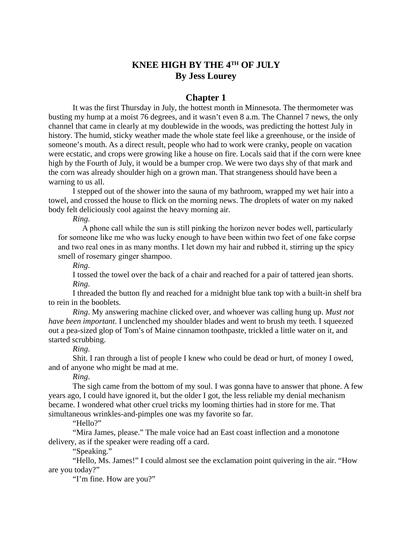# **KNEE HIGH BY THE 4TH OF JULY By Jess Lourey**

## **Chapter 1**

It was the first Thursday in July, the hottest month in Minnesota. The thermometer was busting my hump at a moist 76 degrees, and it wasn't even 8 a.m. The Channel 7 news, the only channel that came in clearly at my doublewide in the woods, was predicting the hottest July in history. The humid, sticky weather made the whole state feel like a greenhouse, or the inside of someone's mouth. As a direct result, people who had to work were cranky, people on vacation were ecstatic, and crops were growing like a house on fire. Locals said that if the corn were knee high by the Fourth of July, it would be a bumper crop. We were two days shy of that mark and the corn was already shoulder high on a grown man. That strangeness should have been a warning to us all.

I stepped out of the shower into the sauna of my bathroom, wrapped my wet hair into a towel, and crossed the house to flick on the morning news. The droplets of water on my naked body felt deliciously cool against the heavy morning air.

### *Ring*.

A phone call while the sun is still pinking the horizon never bodes well, particularly for someone like me who was lucky enough to have been within two feet of one fake corpse and two real ones in as many months. I let down my hair and rubbed it, stirring up the spicy smell of rosemary ginger shampoo.

*Ring*.

I tossed the towel over the back of a chair and reached for a pair of tattered jean shorts. *Ring*.

I threaded the button fly and reached for a midnight blue tank top with a built-in shelf bra to rein in the booblets.

*Ring*. My answering machine clicked over, and whoever was calling hung up. *Must not have been important*. I unclenched my shoulder blades and went to brush my teeth. I squeezed out a pea-sized glop of Tom's of Maine cinnamon toothpaste, trickled a little water on it, and started scrubbing.

#### *Ring*.

Shit. I ran through a list of people I knew who could be dead or hurt, of money I owed, and of anyone who might be mad at me.

## *Ring*.

The sigh came from the bottom of my soul. I was gonna have to answer that phone. A few years ago, I could have ignored it, but the older I got, the less reliable my denial mechanism became. I wondered what other cruel tricks my looming thirties had in store for me. That simultaneous wrinkles-and-pimples one was my favorite so far.

#### "Hello?"

"Mira James, please." The male voice had an East coast inflection and a monotone delivery, as if the speaker were reading off a card.

"Speaking."

"Hello, Ms. James!" I could almost see the exclamation point quivering in the air. "How are you today?"

"I'm fine. How are you?"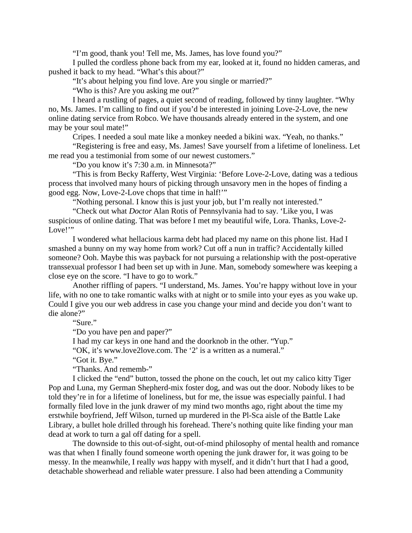"I'm good, thank you! Tell me, Ms. James, has love found you?"

I pulled the cordless phone back from my ear, looked at it, found no hidden cameras, and pushed it back to my head. "What's this about?"

"It's about helping you find love. Are you single or married?"

"Who is this? Are you asking me out?"

I heard a rustling of pages, a quiet second of reading, followed by tinny laughter. "Why no, Ms. James. I'm calling to find out if you'd be interested in joining Love-2-Love, the new online dating service from Robco. We have thousands already entered in the system, and one may be your soul mate!"

Cripes. I needed a soul mate like a monkey needed a bikini wax. "Yeah, no thanks."

"Registering is free and easy, Ms. James! Save yourself from a lifetime of loneliness. Let me read you a testimonial from some of our newest customers."

"Do you know it's 7:30 a.m. in Minnesota?"

"This is from Becky Rafferty, West Virginia: 'Before Love-2-Love, dating was a tedious process that involved many hours of picking through unsavory men in the hopes of finding a good egg. Now, Love-2-Love chops that time in half!'"

"Nothing personal. I know this is just your job, but I'm really not interested."

"Check out what *Doctor* Alan Rotis of Pennsylvania had to say. 'Like you, I was suspicious of online dating. That was before I met my beautiful wife, Lora. Thanks, Love-2- Love!"

I wondered what hellacious karma debt had placed my name on this phone list. Had I smashed a bunny on my way home from work? Cut off a nun in traffic? Accidentally killed someone? Ooh. Maybe this was payback for not pursuing a relationship with the post-operative transsexual professor I had been set up with in June. Man, somebody somewhere was keeping a close eye on the score. "I have to go to work."

Another riffling of papers. "I understand, Ms. James. You're happy without love in your life, with no one to take romantic walks with at night or to smile into your eyes as you wake up. Could I give you our web address in case you change your mind and decide you don't want to die alone?"

"Sure."

"Do you have pen and paper?"

I had my car keys in one hand and the doorknob in the other. "Yup."

"OK, it's www.love2love.com. The '2' is a written as a numeral."

"Got it. Bye."

"Thanks. And rememb-"

I clicked the "end" button, tossed the phone on the couch, let out my calico kitty Tiger Pop and Luna, my German Shepherd-mix foster dog, and was out the door. Nobody likes to be told they're in for a lifetime of loneliness, but for me, the issue was especially painful. I had formally filed love in the junk drawer of my mind two months ago, right about the time my erstwhile boyfriend, Jeff Wilson, turned up murdered in the Pl-Sca aisle of the Battle Lake Library, a bullet hole drilled through his forehead. There's nothing quite like finding your man dead at work to turn a gal off dating for a spell.

The downside to this out-of-sight, out-of-mind philosophy of mental health and romance was that when I finally found someone worth opening the junk drawer for, it was going to be messy. In the meanwhile, I really *was* happy with myself, and it didn't hurt that I had a good, detachable showerhead and reliable water pressure. I also had been attending a Community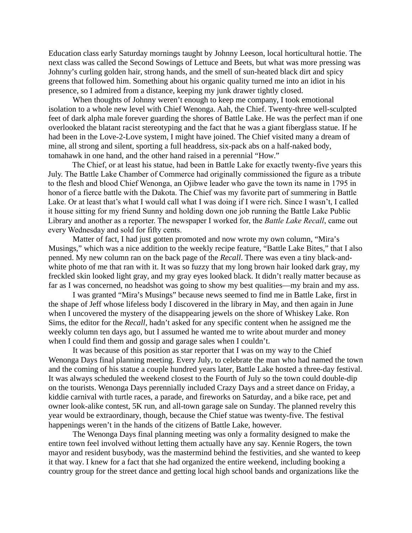Education class early Saturday mornings taught by Johnny Leeson, local horticultural hottie. The next class was called the Second Sowings of Lettuce and Beets, but what was more pressing was Johnny's curling golden hair, strong hands, and the smell of sun-heated black dirt and spicy greens that followed him. Something about his organic quality turned me into an idiot in his presence, so I admired from a distance, keeping my junk drawer tightly closed.

When thoughts of Johnny weren't enough to keep me company, I took emotional isolation to a whole new level with Chief Wenonga. Aah, the Chief. Twenty-three well-sculpted feet of dark alpha male forever guarding the shores of Battle Lake. He was the perfect man if one overlooked the blatant racist stereotyping and the fact that he was a giant fiberglass statue. If he had been in the Love-2-Love system, I might have joined. The Chief visited many a dream of mine, all strong and silent, sporting a full headdress, six-pack abs on a half-naked body, tomahawk in one hand, and the other hand raised in a perennial "How."

The Chief, or at least his statue, had been in Battle Lake for exactly twenty-five years this July. The Battle Lake Chamber of Commerce had originally commissioned the figure as a tribute to the flesh and blood Chief Wenonga, an Ojibwe leader who gave the town its name in 1795 in honor of a fierce battle with the Dakota. The Chief was my favorite part of summering in Battle Lake. Or at least that's what I would call what I was doing if I were rich. Since I wasn't, I called it house sitting for my friend Sunny and holding down one job running the Battle Lake Public Library and another as a reporter. The newspaper I worked for, the *Battle Lake Recall*, came out every Wednesday and sold for fifty cents.

Matter of fact, I had just gotten promoted and now wrote my own column, "Mira's Musings," which was a nice addition to the weekly recipe feature, "Battle Lake Bites," that I also penned. My new column ran on the back page of the *Recall*. There was even a tiny black-andwhite photo of me that ran with it. It was so fuzzy that my long brown hair looked dark gray, my freckled skin looked light gray, and my gray eyes looked black. It didn't really matter because as far as I was concerned, no headshot was going to show my best qualities—my brain and my ass.

I was granted "Mira's Musings" because news seemed to find me in Battle Lake, first in the shape of Jeff whose lifeless body I discovered in the library in May, and then again in June when I uncovered the mystery of the disappearing jewels on the shore of Whiskey Lake. Ron Sims, the editor for the *Recall*, hadn't asked for any specific content when he assigned me the weekly column ten days ago, but I assumed he wanted me to write about murder and money when I could find them and gossip and garage sales when I couldn't.

It was because of this position as star reporter that I was on my way to the Chief Wenonga Days final planning meeting. Every July, to celebrate the man who had named the town and the coming of his statue a couple hundred years later, Battle Lake hosted a three-day festival. It was always scheduled the weekend closest to the Fourth of July so the town could double-dip on the tourists. Wenonga Days perennially included Crazy Days and a street dance on Friday, a kiddie carnival with turtle races, a parade, and fireworks on Saturday, and a bike race, pet and owner look-alike contest, 5K run, and all-town garage sale on Sunday. The planned revelry this year would be extraordinary, though, because the Chief statue was twenty-five. The festival happenings weren't in the hands of the citizens of Battle Lake, however.

The Wenonga Days final planning meeting was only a formality designed to make the entire town feel involved without letting them actually have any say. Kennie Rogers, the town mayor and resident busybody, was the mastermind behind the festivities, and she wanted to keep it that way. I knew for a fact that she had organized the entire weekend, including booking a country group for the street dance and getting local high school bands and organizations like the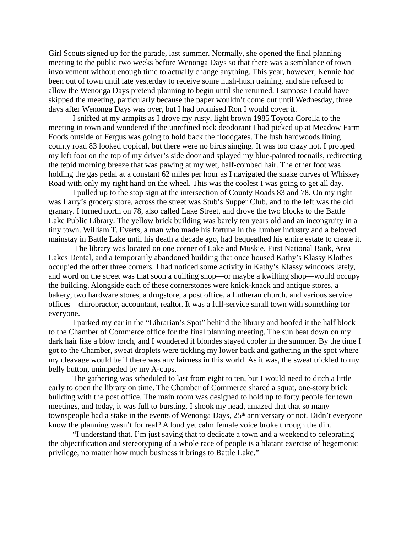Girl Scouts signed up for the parade, last summer. Normally, she opened the final planning meeting to the public two weeks before Wenonga Days so that there was a semblance of town involvement without enough time to actually change anything. This year, however, Kennie had been out of town until late yesterday to receive some hush-hush training, and she refused to allow the Wenonga Days pretend planning to begin until she returned. I suppose I could have skipped the meeting, particularly because the paper wouldn't come out until Wednesday, three days after Wenonga Days was over, but I had promised Ron I would cover it.

I sniffed at my armpits as I drove my rusty, light brown 1985 Toyota Corolla to the meeting in town and wondered if the unrefined rock deodorant I had picked up at Meadow Farm Foods outside of Fergus was going to hold back the floodgates. The lush hardwoods lining county road 83 looked tropical, but there were no birds singing. It was too crazy hot. I propped my left foot on the top of my driver's side door and splayed my blue-painted toenails, redirecting the tepid morning breeze that was pawing at my wet, half-combed hair. The other foot was holding the gas pedal at a constant 62 miles per hour as I navigated the snake curves of Whiskey Road with only my right hand on the wheel. This was the coolest I was going to get all day.

I pulled up to the stop sign at the intersection of County Roads 83 and 78. On my right was Larry's grocery store, across the street was Stub's Supper Club, and to the left was the old granary. I turned north on 78, also called Lake Street, and drove the two blocks to the Battle Lake Public Library. The yellow brick building was barely ten years old and an incongruity in a tiny town. William T. Everts, a man who made his fortune in the lumber industry and a beloved mainstay in Battle Lake until his death a decade ago, had bequeathed his entire estate to create it.

 The library was located on one corner of Lake and Muskie. First National Bank, Area Lakes Dental, and a temporarily abandoned building that once housed Kathy's Klassy Klothes occupied the other three corners. I had noticed some activity in Kathy's Klassy windows lately, and word on the street was that soon a quilting shop—or maybe a kwilting shop—would occupy the building. Alongside each of these cornerstones were knick-knack and antique stores, a bakery, two hardware stores, a drugstore, a post office, a Lutheran church, and various service offices—chiropractor, accountant, realtor. It was a full-service small town with something for everyone.

I parked my car in the "Librarian's Spot" behind the library and hoofed it the half block to the Chamber of Commerce office for the final planning meeting. The sun beat down on my dark hair like a blow torch, and I wondered if blondes stayed cooler in the summer. By the time I got to the Chamber, sweat droplets were tickling my lower back and gathering in the spot where my cleavage would be if there was any fairness in this world. As it was, the sweat trickled to my belly button, unimpeded by my A-cups.

The gathering was scheduled to last from eight to ten, but I would need to ditch a little early to open the library on time. The Chamber of Commerce shared a squat, one-story brick building with the post office. The main room was designed to hold up to forty people for town meetings, and today, it was full to bursting. I shook my head, amazed that that so many townspeople had a stake in the events of Wenonga Days, 25<sup>th</sup> anniversary or not. Didn't everyone know the planning wasn't for real? A loud yet calm female voice broke through the din.

"I understand that. I'm just saying that to dedicate a town and a weekend to celebrating the objectification and stereotyping of a whole race of people is a blatant exercise of hegemonic privilege, no matter how much business it brings to Battle Lake."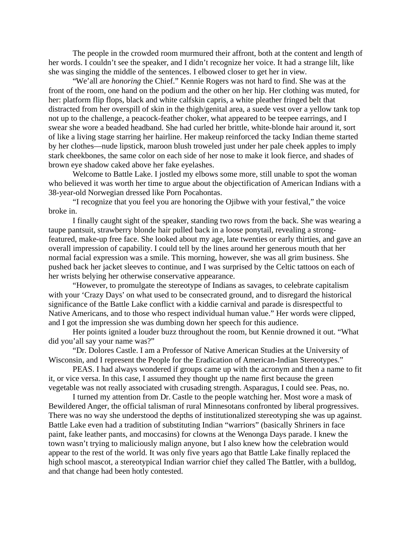The people in the crowded room murmured their affront, both at the content and length of her words. I couldn't see the speaker, and I didn't recognize her voice. It had a strange lilt, like she was singing the middle of the sentences. I elbowed closer to get her in view.

"We'all are *honoring* the Chief." Kennie Rogers was not hard to find. She was at the front of the room, one hand on the podium and the other on her hip. Her clothing was muted, for her: platform flip flops, black and white calfskin capris, a white pleather fringed belt that distracted from her overspill of skin in the thigh/genital area, a suede vest over a yellow tank top not up to the challenge, a peacock-feather choker, what appeared to be teepee earrings, and I swear she wore a beaded headband. She had curled her brittle, white-blonde hair around it, sort of like a living stage starring her hairline. Her makeup reinforced the tacky Indian theme started by her clothes—nude lipstick, maroon blush troweled just under her pale cheek apples to imply stark cheekbones, the same color on each side of her nose to make it look fierce, and shades of brown eye shadow caked above her fake eyelashes.

Welcome to Battle Lake. I jostled my elbows some more, still unable to spot the woman who believed it was worth her time to argue about the objectification of American Indians with a 38-year-old Norwegian dressed like Porn Pocahontas.

"I recognize that you feel you are honoring the Ojibwe with your festival," the voice broke in.

I finally caught sight of the speaker, standing two rows from the back. She was wearing a taupe pantsuit, strawberry blonde hair pulled back in a loose ponytail, revealing a strongfeatured, make-up free face. She looked about my age, late twenties or early thirties, and gave an overall impression of capability. I could tell by the lines around her generous mouth that her normal facial expression was a smile. This morning, however, she was all grim business. She pushed back her jacket sleeves to continue, and I was surprised by the Celtic tattoos on each of her wrists belying her otherwise conservative appearance.

"However, to promulgate the stereotype of Indians as savages, to celebrate capitalism with your 'Crazy Days' on what used to be consecrated ground, and to disregard the historical significance of the Battle Lake conflict with a kiddie carnival and parade is disrespectful to Native Americans, and to those who respect individual human value." Her words were clipped, and I got the impression she was dumbing down her speech for this audience.

Her points ignited a louder buzz throughout the room, but Kennie drowned it out. "What did you'all say your name was?"

"Dr. Dolores Castle. I am a Professor of Native American Studies at the University of Wisconsin, and I represent the People for the Eradication of American-Indian Stereotypes."

PEAS. I had always wondered if groups came up with the acronym and then a name to fit it, or vice versa. In this case, I assumed they thought up the name first because the green vegetable was not really associated with crusading strength. Asparagus, I could see. Peas, no.

I turned my attention from Dr. Castle to the people watching her. Most wore a mask of Bewildered Anger, the official talisman of rural Minnesotans confronted by liberal progressives. There was no way she understood the depths of institutionalized stereotyping she was up against. Battle Lake even had a tradition of substituting Indian "warriors" (basically Shriners in face paint, fake leather pants, and moccasins) for clowns at the Wenonga Days parade. I knew the town wasn't trying to maliciously malign anyone, but I also knew how the celebration would appear to the rest of the world. It was only five years ago that Battle Lake finally replaced the high school mascot, a stereotypical Indian warrior chief they called The Battler, with a bulldog, and that change had been hotly contested.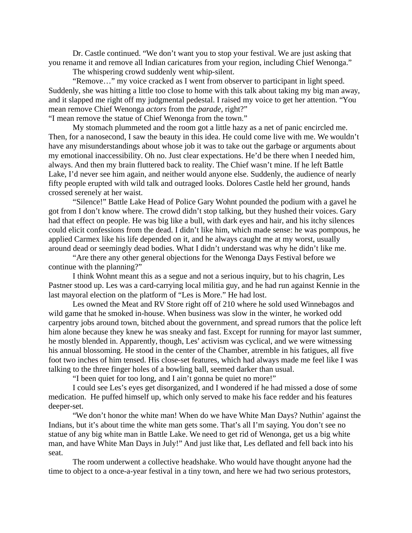Dr. Castle continued. "We don't want you to stop your festival. We are just asking that you rename it and remove all Indian caricatures from your region, including Chief Wenonga."

The whispering crowd suddenly went whip-silent.

"Remove…" my voice cracked as I went from observer to participant in light speed. Suddenly, she was hitting a little too close to home with this talk about taking my big man away, and it slapped me right off my judgmental pedestal. I raised my voice to get her attention. "You mean remove Chief Wenonga *actors* from the *parade*, right?"

"I mean remove the statue of Chief Wenonga from the town."

My stomach plummeted and the room got a little hazy as a net of panic encircled me. Then, for a nanosecond, I saw the beauty in this idea. He could come live with me. We wouldn't have any misunderstandings about whose job it was to take out the garbage or arguments about my emotional inaccessibility. Oh no. Just clear expectations. He'd be there when I needed him, always. And then my brain fluttered back to reality. The Chief wasn't mine. If he left Battle Lake, I'd never see him again, and neither would anyone else. Suddenly, the audience of nearly fifty people erupted with wild talk and outraged looks. Dolores Castle held her ground, hands crossed serenely at her waist.

"Silence!" Battle Lake Head of Police Gary Wohnt pounded the podium with a gavel he got from I don't know where. The crowd didn't stop talking, but they hushed their voices. Gary had that effect on people. He was big like a bull, with dark eyes and hair, and his itchy silences could elicit confessions from the dead. I didn't like him, which made sense: he was pompous, he applied Carmex like his life depended on it, and he always caught me at my worst, usually around dead or seemingly dead bodies. What I didn't understand was why he didn't like me.

"Are there any other general objections for the Wenonga Days Festival before we continue with the planning?"

I think Wohnt meant this as a segue and not a serious inquiry, but to his chagrin, Les Pastner stood up. Les was a card-carrying local militia guy, and he had run against Kennie in the last mayoral election on the platform of "Les is More." He had lost.

Les owned the Meat and RV Store right off of 210 where he sold used Winnebagos and wild game that he smoked in-house. When business was slow in the winter, he worked odd carpentry jobs around town, bitched about the government, and spread rumors that the police left him alone because they knew he was sneaky and fast. Except for running for mayor last summer, he mostly blended in. Apparently, though, Les' activism was cyclical, and we were witnessing his annual blossoming. He stood in the center of the Chamber, atremble in his fatigues, all five foot two inches of him tensed. His close-set features, which had always made me feel like I was talking to the three finger holes of a bowling ball, seemed darker than usual.

"I been quiet for too long, and I ain't gonna be quiet no more!"

I could see Les's eyes get disorganized, and I wondered if he had missed a dose of some medication. He puffed himself up, which only served to make his face redder and his features deeper-set.

"We don't honor the white man! When do we have White Man Days? Nuthin' against the Indians, but it's about time the white man gets some. That's all I'm saying. You don't see no statue of any big white man in Battle Lake. We need to get rid of Wenonga, get us a big white man, and have White Man Days in July!" And just like that, Les deflated and fell back into his seat.

The room underwent a collective headshake. Who would have thought anyone had the time to object to a once-a-year festival in a tiny town, and here we had two serious protestors,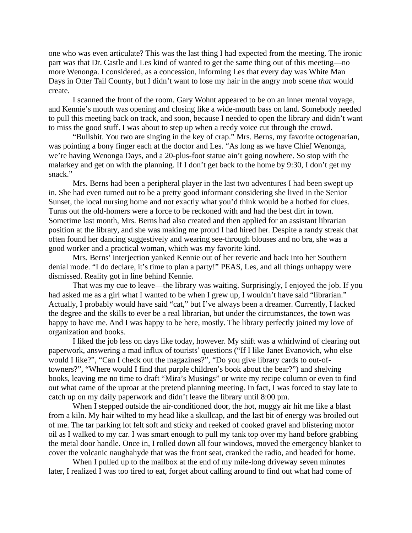one who was even articulate? This was the last thing I had expected from the meeting. The ironic part was that Dr. Castle and Les kind of wanted to get the same thing out of this meeting—no more Wenonga. I considered, as a concession, informing Les that every day was White Man Days in Otter Tail County, but I didn't want to lose my hair in the angry mob scene *that* would create.

I scanned the front of the room. Gary Wohnt appeared to be on an inner mental voyage, and Kennie's mouth was opening and closing like a wide-mouth bass on land. Somebody needed to pull this meeting back on track, and soon, because I needed to open the library and didn't want to miss the good stuff. I was about to step up when a reedy voice cut through the crowd.

"Bullshit. You two are singing in the key of crap." Mrs. Berns, my favorite octogenarian, was pointing a bony finger each at the doctor and Les. "As long as we have Chief Wenonga, we're having Wenonga Days, and a 20-plus-foot statue ain't going nowhere. So stop with the malarkey and get on with the planning. If I don't get back to the home by 9:30, I don't get my snack."

Mrs. Berns had been a peripheral player in the last two adventures I had been swept up in. She had even turned out to be a pretty good informant considering she lived in the Senior Sunset, the local nursing home and not exactly what you'd think would be a hotbed for clues. Turns out the old-homers were a force to be reckoned with and had the best dirt in town. Sometime last month, Mrs. Berns had also created and then applied for an assistant librarian position at the library, and she was making me proud I had hired her. Despite a randy streak that often found her dancing suggestively and wearing see-through blouses and no bra, she was a good worker and a practical woman, which was my favorite kind.

Mrs. Berns' interjection yanked Kennie out of her reverie and back into her Southern denial mode. "I do declare, it's time to plan a party!" PEAS, Les, and all things unhappy were dismissed. Reality got in line behind Kennie.

That was my cue to leave—the library was waiting. Surprisingly, I enjoyed the job. If you had asked me as a girl what I wanted to be when I grew up, I wouldn't have said "librarian." Actually, I probably would have said "cat," but I've always been a dreamer. Currently, I lacked the degree and the skills to ever be a real librarian, but under the circumstances, the town was happy to have me. And I was happy to be here, mostly. The library perfectly joined my love of organization and books.

I liked the job less on days like today, however. My shift was a whirlwind of clearing out paperwork, answering a mad influx of tourists' questions ("If I like Janet Evanovich, who else would I like?", "Can I check out the magazines?", "Do you give library cards to out-oftowners?", "Where would I find that purple children's book about the bear?") and shelving books, leaving me no time to draft "Mira's Musings" or write my recipe column or even to find out what came of the uproar at the pretend planning meeting. In fact, I was forced to stay late to catch up on my daily paperwork and didn't leave the library until 8:00 pm.

When I stepped outside the air-conditioned door, the hot, muggy air hit me like a blast from a kiln. My hair wilted to my head like a skullcap, and the last bit of energy was broiled out of me. The tar parking lot felt soft and sticky and reeked of cooked gravel and blistering motor oil as I walked to my car. I was smart enough to pull my tank top over my hand before grabbing the metal door handle. Once in, I rolled down all four windows, moved the emergency blanket to cover the volcanic naughahyde that was the front seat, cranked the radio, and headed for home.

When I pulled up to the mailbox at the end of my mile-long driveway seven minutes later, I realized I was too tired to eat, forget about calling around to find out what had come of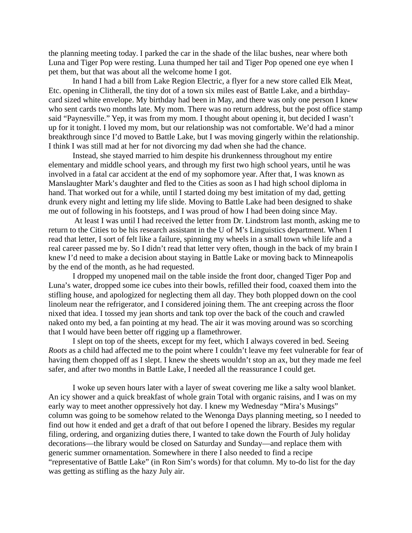the planning meeting today. I parked the car in the shade of the lilac bushes, near where both Luna and Tiger Pop were resting. Luna thumped her tail and Tiger Pop opened one eye when I pet them, but that was about all the welcome home I got.

In hand I had a bill from Lake Region Electric, a flyer for a new store called Elk Meat, Etc. opening in Clitherall, the tiny dot of a town six miles east of Battle Lake, and a birthdaycard sized white envelope. My birthday had been in May, and there was only one person I knew who sent cards two months late. My mom. There was no return address, but the post office stamp said "Paynesville." Yep, it was from my mom. I thought about opening it, but decided I wasn't up for it tonight. I loved my mom, but our relationship was not comfortable. We'd had a minor breakthrough since I'd moved to Battle Lake, but I was moving gingerly within the relationship. I think I was still mad at her for not divorcing my dad when she had the chance.

Instead, she stayed married to him despite his drunkenness throughout my entire elementary and middle school years, and through my first two high school years, until he was involved in a fatal car accident at the end of my sophomore year. After that, I was known as Manslaughter Mark's daughter and fled to the Cities as soon as I had high school diploma in hand. That worked out for a while, until I started doing my best imitation of my dad, getting drunk every night and letting my life slide. Moving to Battle Lake had been designed to shake me out of following in his footsteps, and I was proud of how I had been doing since May.

 At least I was until I had received the letter from Dr. Lindstrom last month, asking me to return to the Cities to be his research assistant in the U of M's Linguistics department. When I read that letter, I sort of felt like a failure, spinning my wheels in a small town while life and a real career passed me by. So I didn't read that letter very often, though in the back of my brain I knew I'd need to make a decision about staying in Battle Lake or moving back to Minneapolis by the end of the month, as he had requested.

I dropped my unopened mail on the table inside the front door, changed Tiger Pop and Luna's water, dropped some ice cubes into their bowls, refilled their food, coaxed them into the stifling house, and apologized for neglecting them all day. They both plopped down on the cool linoleum near the refrigerator, and I considered joining them. The ant creeping across the floor nixed that idea. I tossed my jean shorts and tank top over the back of the couch and crawled naked onto my bed, a fan pointing at my head. The air it was moving around was so scorching that I would have been better off rigging up a flamethrower.

I slept on top of the sheets, except for my feet, which I always covered in bed. Seeing *Roots* as a child had affected me to the point where I couldn't leave my feet vulnerable for fear of having them chopped off as I slept. I knew the sheets wouldn't stop an ax, but they made me feel safer, and after two months in Battle Lake, I needed all the reassurance I could get.

I woke up seven hours later with a layer of sweat covering me like a salty wool blanket. An icy shower and a quick breakfast of whole grain Total with organic raisins, and I was on my early way to meet another oppressively hot day. I knew my Wednesday "Mira's Musings" column was going to be somehow related to the Wenonga Days planning meeting, so I needed to find out how it ended and get a draft of that out before I opened the library. Besides my regular filing, ordering, and organizing duties there, I wanted to take down the Fourth of July holiday decorations—the library would be closed on Saturday and Sunday—and replace them with generic summer ornamentation. Somewhere in there I also needed to find a recipe "representative of Battle Lake" (in Ron Sim's words) for that column. My to-do list for the day was getting as stifling as the hazy July air.